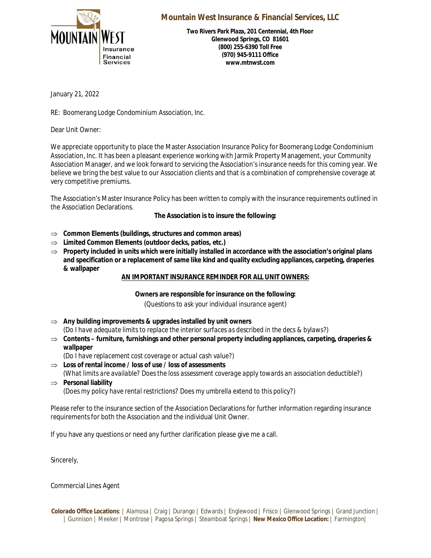

## **Mountain West Insurance & Financial Services, LLC**

**Two Rivers Park Plaza, 201 Centennial, 4th Floor Glenwood Springs, CO 81601 (800) 255-6390 Toll Free (970) 945-9111 Office www.mtnwst.com**

January 21, 2022

RE: Boomerang Lodge Condominium Association, Inc.

Dear Unit Owner:

We appreciate opportunity to place the Master Association Insurance Policy for Boomerang Lodge Condominium Association, Inc. It has been a pleasant experience working with Jarmik Property Management, your Community Association Manager, and we look forward to servicing the Association's insurance needs for this coming year. We believe we bring the best value to our Association clients and that is a combination of comprehensive coverage at very competitive premiums.

The Association's Master Insurance Policy has been written to comply with the insurance requirements outlined in the Association Declarations.

**The Association is to insure the following:**

- **Common Elements (buildings, structures and common areas)**
- **Limited Common Elements (outdoor decks, patios, etc.)**
- $\Rightarrow$  Property included in units which were initially installed in accordance with the association's original plans **and specification or a replacement of same like kind and quality excluding appliances, carpeting, draperies & wallpaper**

## **AN IMPORTANT INSURANCE REMINDER FOR ALL UNIT OWNERS:**

**Owners are responsible for insurance on the following:** *(Questions to ask your individual insurance agent)*

- **Any building improvements & upgrades installed by unit owners** *(Do I have adequate limits to replace the interior surfaces as described in the decs & bylaws?)*
- **Contents furniture, furnishings and other personal property including appliances, carpeting, draperies & wallpaper**
	- *(Do I have replacement cost coverage or actual cash value?)*
- **Loss of rental income / loss of use / loss of assessments** *(What limits are available? Does the loss assessment coverage apply towards an association deductible?)* **Personal liability**
	- *(Does my policy have rental restrictions? Does my umbrella extend to this policy?)*

Please refer to the insurance section of the Association Declarations for further information regarding insurance requirements for both the Association and the individual Unit Owner.

If you have any questions or need any further clarification please give me a call.

Sincerely,

Commercial Lines Agent